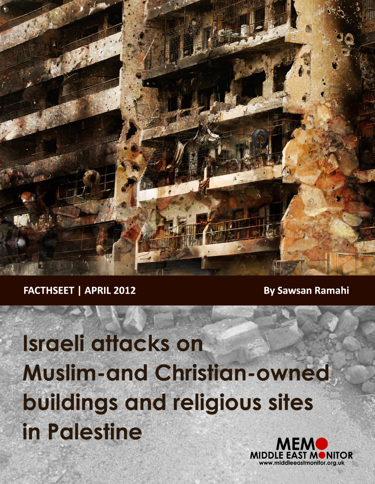

**FACTHSEET | APRIL 2012** 

**By Sawsan Ramahi** 

Israeli attacks on **Muslim-and Christian-owned** buildings and religious sites in Palestine

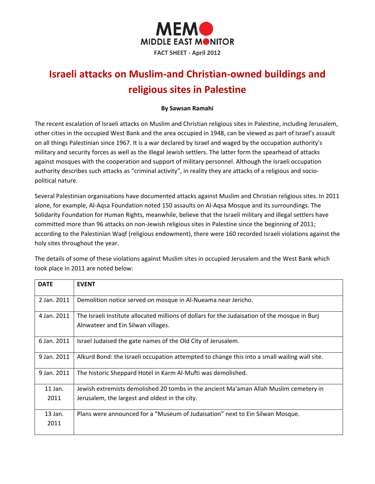

# **Israeli attacks on Muslim-and Christian-owned buildings and religious sites in Palestine**

#### **By Sawsan Ramahi**

The recent escalation of Israeli attacks on Muslim and Christian religious sites in Palestine, including Jerusalem, other cities in the occupied West Bank and the area occupied in 1948, can be viewed as part of Israel's assault on all things Palestinian since 1967. It is a war declared by Israel and waged by the occupation authority's military and security forces as well as the illegal Jewish settlers. The latter form the spearhead of attacks against mosques with the cooperation and support of military personnel. Although the Israeli occupation authority describes such attacks as "criminal activity", in reality they are attacks of a religious and sociopolitical nature.

Several Palestinian organisations have documented attacks against Muslim and Christian religious sites. In 2011 alone, for example, Al-Aqsa Foundation noted 150 assaults on Al-Aqsa Mosque and its surroundings. The Solidarity Foundation for Human Rights, meanwhile, believe that the Israeli military and illegal settlers have committed more than 96 attacks on non-Jewish religious sites in Palestine since the beginning of 2011; according to the Palestinian Waqf (religious endowment), there were 160 recorded Israeli violations against the holy sites throughout the year.

The details of some of these violations against Muslim sites in occupied Jerusalem and the West Bank which took place in 2011 are noted below:

| <b>DATE</b> | <b>EVENT</b>                                                                                                                        |
|-------------|-------------------------------------------------------------------------------------------------------------------------------------|
| 2 Jan. 2011 | Demolition notice served on mosque in Al-Nueama near Jericho.                                                                       |
| 4 Jan. 2011 | The Israeli Institute allocated millions of dollars for the Judaisation of the mosque in Burj<br>Alnwateer and Ein Silwan villages. |
| 6 Jan. 2011 | Israel Judaised the gate names of the Old City of Jerusalem.                                                                        |
| 9 Jan. 2011 | Alkurd Bond: the Israeli occupation attempted to change this into a small wailing wall site.                                        |
| 9 Jan. 2011 | The historic Sheppard Hotel in Karm Al-Mufti was demolished.                                                                        |
| 11 Jan.     | Jewish extremists demolished 20 tombs in the ancient Ma'aman Allah Muslim cemetery in                                               |
| 2011        | Jerusalem, the largest and oldest in the city.                                                                                      |
| $13$ Jan.   | Plans were announced for a "Museum of Judaisation" next to Ein Silwan Mosque.                                                       |
| 2011        |                                                                                                                                     |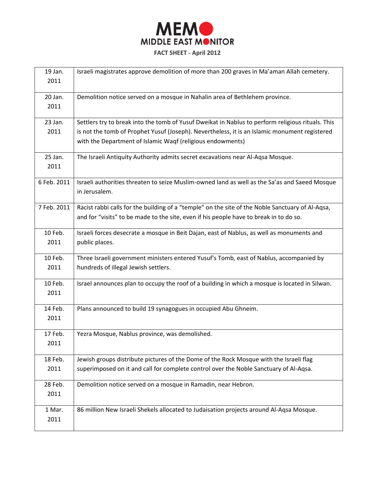

| 19 Jan.<br>2011 | Israeli magistrates approve demolition of more than 200 graves in Ma'aman Allah cemetery.                                                                                                                                                                        |
|-----------------|------------------------------------------------------------------------------------------------------------------------------------------------------------------------------------------------------------------------------------------------------------------|
| 20 Jan.<br>2011 | Demolition notice served on a mosque in Nahalin area of Bethlehem province.                                                                                                                                                                                      |
| 23 Jan.<br>2011 | Settlers try to break into the tomb of Yusuf Dweikat in Nablus to perform religious rituals. This<br>is not the tomb of Prophet Yusuf (Joseph). Nevertheless, it is an Islamic monument registered<br>with the Department of Islamic Waqf (religious endowments) |
| 25 Jan.<br>2011 | The Israeli Antiquity Authority admits secret excavations near Al-Aqsa Mosque.                                                                                                                                                                                   |
| 6 Feb. 2011     | Israeli authorities threaten to seize Muslim-owned land as well as the Sa'as and Saeed Mosque<br>in Jerusalem.                                                                                                                                                   |
| 7 Feb. 2011     | Racist rabbi calls for the building of a "temple" on the site of the Noble Sanctuary of Al-Aqsa,<br>and for "visits" to be made to the site, even if his people have to break in to do so.                                                                       |
| 10 Feb.<br>2011 | Israeli forces desecrate a mosque in Beit Dajan, east of Nablus, as well as monuments and<br>public places.                                                                                                                                                      |
| 10 Feb.<br>2011 | Three Israeli government ministers entered Yusuf's Tomb, east of Nablus, accompanied by<br>hundreds of illegal Jewish settlers.                                                                                                                                  |
| 10 Feb.<br>2011 | Israel announces plan to occupy the roof of a building in which a mosque is located in Silwan.                                                                                                                                                                   |
| 14 Feb.<br>2011 | Plans announced to build 19 synagogues in occupied Abu Ghneim.                                                                                                                                                                                                   |
| 17 Feb.<br>2011 | Yezra Mosque, Nablus province, was demolished.                                                                                                                                                                                                                   |
| 18 Feb.<br>2011 | Jewish groups distribute pictures of the Dome of the Rock Mosque with the Israeli flag<br>superimposed on it and call for complete control over the Noble Sanctuary of Al-Aqsa.                                                                                  |
| 28 Feb.<br>2011 | Demolition notice served on a mosque in Ramadin, near Hebron.                                                                                                                                                                                                    |
| 1 Mar.<br>2011  | 86 million New Israeli Shekels allocated to Judaisation projects around Al-Aqsa Mosque.                                                                                                                                                                          |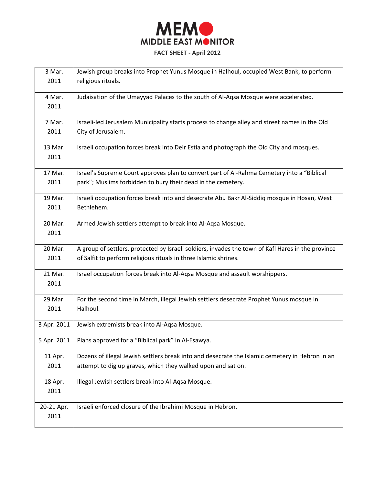

| 3 Mar.      | Jewish group breaks into Prophet Yunus Mosque in Halhoul, occupied West Bank, to perform           |
|-------------|----------------------------------------------------------------------------------------------------|
| 2011        | religious rituals.                                                                                 |
| 4 Mar.      | Judaisation of the Umayyad Palaces to the south of Al-Aqsa Mosque were accelerated.                |
| 2011        |                                                                                                    |
|             |                                                                                                    |
| 7 Mar.      | Israeli-led Jerusalem Municipality starts process to change alley and street names in the Old      |
| 2011        | City of Jerusalem.                                                                                 |
| 13 Mar.     | Israeli occupation forces break into Deir Estia and photograph the Old City and mosques.           |
| 2011        |                                                                                                    |
|             |                                                                                                    |
| 17 Mar.     | Israel's Supreme Court approves plan to convert part of Al-Rahma Cemetery into a "Biblical         |
| 2011        | park"; Muslims forbidden to bury their dead in the cemetery.                                       |
| 19 Mar.     | Israeli occupation forces break into and desecrate Abu Bakr Al-Siddiq mosque in Hosan, West        |
| 2011        | Bethlehem.                                                                                         |
| 20 Mar.     |                                                                                                    |
| 2011        | Armed Jewish settlers attempt to break into Al-Aqsa Mosque.                                        |
|             |                                                                                                    |
| 20 Mar.     | A group of settlers, protected by Israeli soldiers, invades the town of Kafl Hares in the province |
| 2011        | of Salfit to perform religious rituals in three Islamic shrines.                                   |
| 21 Mar.     | Israel occupation forces break into Al-Aqsa Mosque and assault worshippers.                        |
| 2011        |                                                                                                    |
|             |                                                                                                    |
| 29 Mar.     | For the second time in March, illegal Jewish settlers desecrate Prophet Yunus mosque in            |
| 2011        | Halhoul.                                                                                           |
| 3 Apr. 2011 | Jewish extremists break into Al-Aqsa Mosque.                                                       |
|             |                                                                                                    |
| 5 Apr. 2011 | Plans approved for a "Biblical park" in Al-Esawya.                                                 |
| 11 Apr.     | Dozens of illegal Jewish settlers break into and desecrate the Islamic cemetery in Hebron in an    |
| 2011        | attempt to dig up graves, which they walked upon and sat on.                                       |
|             |                                                                                                    |
| 18 Apr.     | Illegal Jewish settlers break into Al-Aqsa Mosque.                                                 |
| 2011        |                                                                                                    |
| 20-21 Apr.  | Israeli enforced closure of the Ibrahimi Mosque in Hebron.                                         |
| 2011        |                                                                                                    |
|             |                                                                                                    |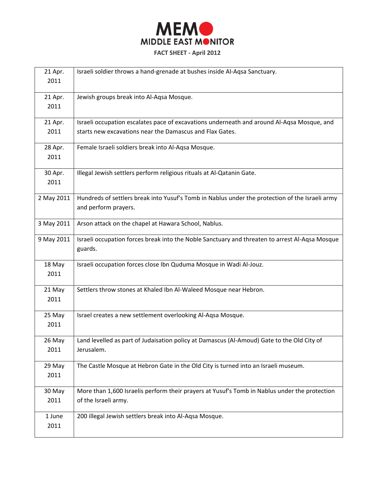

| 21 Apr.<br>2011 | Israeli soldier throws a hand-grenade at bushes inside Al-Aqsa Sanctuary.                                               |
|-----------------|-------------------------------------------------------------------------------------------------------------------------|
| 21 Apr.<br>2011 | Jewish groups break into Al-Aqsa Mosque.                                                                                |
| 21 Apr.         | Israeli occupation escalates pace of excavations underneath and around Al-Aqsa Mosque, and                              |
| 2011            | starts new excavations near the Damascus and Flax Gates.                                                                |
| 28 Apr.         | Female Israeli soldiers break into Al-Aqsa Mosque.                                                                      |
| 2011            |                                                                                                                         |
| 30 Apr.         | Illegal Jewish settlers perform religious rituals at Al-Qatanin Gate.                                                   |
| 2011            |                                                                                                                         |
| 2 May 2011      | Hundreds of settlers break into Yusuf's Tomb in Nablus under the protection of the Israeli army<br>and perform prayers. |
| 3 May 2011      | Arson attack on the chapel at Hawara School, Nablus.                                                                    |
| 9 May 2011      | Israeli occupation forces break into the Noble Sanctuary and threaten to arrest Al-Aqsa Mosque<br>guards.               |
| 18 May<br>2011  | Israeli occupation forces close Ibn Quduma Mosque in Wadi Al-Jouz.                                                      |
| 21 May<br>2011  | Settlers throw stones at Khaled Ibn Al-Waleed Mosque near Hebron.                                                       |
| 25 May<br>2011  | Israel creates a new settlement overlooking Al-Aqsa Mosque.                                                             |
| 26 May          | Land levelled as part of Judaisation policy at Damascus (Al-Amoud) Gate to the Old City of                              |
| 2011            | Jerusalem.                                                                                                              |
| 29 May          | The Castle Mosque at Hebron Gate in the Old City is turned into an Israeli museum.                                      |
| 2011            |                                                                                                                         |
| 30 May          | More than 1,600 Israelis perform their prayers at Yusuf's Tomb in Nablus under the protection                           |
| 2011            | of the Israeli army.                                                                                                    |
| 1 June          | 200 illegal Jewish settlers break into Al-Aqsa Mosque.                                                                  |
| 2011            |                                                                                                                         |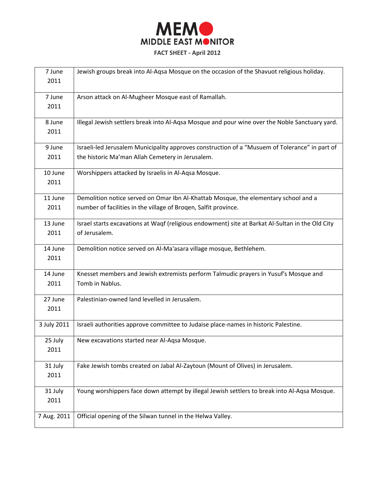

| 7 June      | Jewish groups break into Al-Aqsa Mosque on the occasion of the Shavuot religious holiday.        |
|-------------|--------------------------------------------------------------------------------------------------|
| 2011        |                                                                                                  |
|             |                                                                                                  |
| 7 June      | Arson attack on Al-Mugheer Mosque east of Ramallah.                                              |
| 2011        |                                                                                                  |
| 8 June      | Illegal Jewish settlers break into Al-Aqsa Mosque and pour wine over the Noble Sanctuary yard.   |
| 2011        |                                                                                                  |
| 9 June      | Israeli-led Jerusalem Municipality approves construction of a "Musuem of Tolerance" in part of   |
| 2011        | the historic Ma'man Allah Cemetery in Jerusalem.                                                 |
| 10 June     | Worshippers attacked by Israelis in Al-Aqsa Mosque.                                              |
| 2011        |                                                                                                  |
| 11 June     | Demolition notice served on Omar Ibn Al-Khattab Mosque, the elementary school and a              |
| 2011        | number of facilities in the village of Broqen, Salfit province.                                  |
| 13 June     | Israel starts excavations at Waqf (religious endowment) site at Barkat Al-Sultan in the Old City |
| 2011        | of Jerusalem.                                                                                    |
| 14 June     | Demolition notice served on Al-Ma'asara village mosque, Bethlehem.                               |
| 2011        |                                                                                                  |
| 14 June     | Knesset members and Jewish extremists perform Talmudic prayers in Yusuf's Mosque and             |
| 2011        | Tomb in Nablus.                                                                                  |
| 27 June     | Palestinian-owned land levelled in Jerusalem.                                                    |
| 2011        |                                                                                                  |
| 3 July 2011 | Israeli authorities approve committee to Judaise place-names in historic Palestine.              |
| 25 July     | New excavations started near Al-Aqsa Mosque.                                                     |
| 2011        |                                                                                                  |
| 31 July     | Fake Jewish tombs created on Jabal Al-Zaytoun (Mount of Olives) in Jerusalem.                    |
| 2011        |                                                                                                  |
| 31 July     | Young worshippers face down attempt by illegal Jewish settlers to break into Al-Aqsa Mosque.     |
| 2011        |                                                                                                  |
| 7 Aug. 2011 | Official opening of the Silwan tunnel in the Helwa Valley.                                       |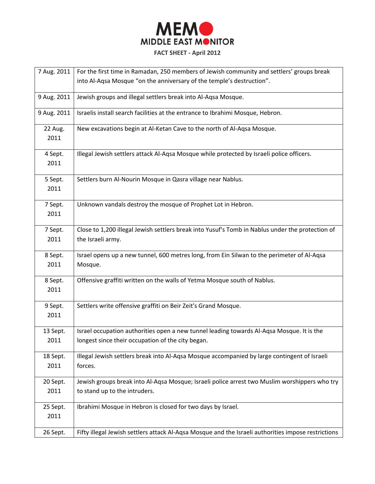

| 7 Aug. 2011      | For the first time in Ramadan, 250 members of Jewish community and settlers' groups break           |
|------------------|-----------------------------------------------------------------------------------------------------|
|                  | into Al-Aqsa Mosque "on the anniversary of the temple's destruction".                               |
|                  |                                                                                                     |
| 9 Aug. 2011      | Jewish groups and illegal settlers break into Al-Aqsa Mosque.                                       |
| 9 Aug. 2011      | Israelis install search facilities at the entrance to Ibrahimi Mosque, Hebron.                      |
|                  |                                                                                                     |
| 22 Aug.          | New excavations begin at Al-Ketan Cave to the north of Al-Aqsa Mosque.                              |
| 2011             |                                                                                                     |
|                  |                                                                                                     |
| 4 Sept.          | Illegal Jewish settlers attack Al-Aqsa Mosque while protected by Israeli police officers.           |
| 2011             |                                                                                                     |
| 5 Sept.          | Settlers burn Al-Nourin Mosque in Qasra village near Nablus.                                        |
| 2011             |                                                                                                     |
|                  |                                                                                                     |
| 7 Sept.          | Unknown vandals destroy the mosque of Prophet Lot in Hebron.                                        |
| 2011             |                                                                                                     |
|                  | Close to 1,200 illegal Jewish settlers break into Yusuf's Tomb in Nablus under the protection of    |
| 7 Sept.          |                                                                                                     |
| 2011             | the Israeli army.                                                                                   |
| 8 Sept.          | Israel opens up a new tunnel, 600 metres long, from Ein Silwan to the perimeter of Al-Aqsa          |
| 2011             | Mosque.                                                                                             |
|                  |                                                                                                     |
| 8 Sept.          | Offensive graffiti written on the walls of Yetma Mosque south of Nablus.                            |
| 2011             |                                                                                                     |
| 9 Sept.          | Settlers write offensive graffiti on Beir Zeit's Grand Mosque.                                      |
| 2011             |                                                                                                     |
|                  |                                                                                                     |
| 13 Sept.         | Israel occupation authorities open a new tunnel leading towards Al-Aqsa Mosque. It is the           |
| 2011             | longest since their occupation of the city began.                                                   |
|                  | Illegal Jewish settlers break into Al-Aqsa Mosque accompanied by large contingent of Israeli        |
| 18 Sept.<br>2011 | forces.                                                                                             |
|                  |                                                                                                     |
| 20 Sept.         | Jewish groups break into Al-Aqsa Mosque; Israeli police arrest two Muslim worshippers who try       |
| 2011             | to stand up to the intruders.                                                                       |
|                  |                                                                                                     |
| 25 Sept.         | Ibrahimi Mosque in Hebron is closed for two days by Israel.                                         |
| 2011             |                                                                                                     |
| 26 Sept.         | Fifty illegal Jewish settlers attack Al-Aqsa Mosque and the Israeli authorities impose restrictions |
|                  |                                                                                                     |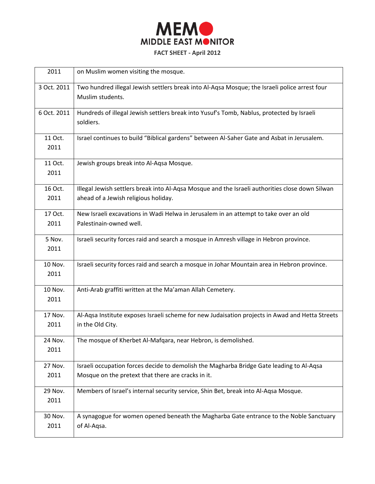

| 2011            | on Muslim women visiting the mosque.                                                                                                           |
|-----------------|------------------------------------------------------------------------------------------------------------------------------------------------|
| 3 Oct. 2011     | Two hundred illegal Jewish settlers break into Al-Aqsa Mosque; the Israeli police arrest four<br>Muslim students.                              |
| 6 Oct. 2011     | Hundreds of illegal Jewish settlers break into Yusuf's Tomb, Nablus, protected by Israeli<br>soldiers.                                         |
| 11 Oct.<br>2011 | Israel continues to build "Biblical gardens" between Al-Saher Gate and Asbat in Jerusalem.                                                     |
| 11 Oct.<br>2011 | Jewish groups break into Al-Aqsa Mosque.                                                                                                       |
| 16 Oct.<br>2011 | Illegal Jewish settlers break into Al-Aqsa Mosque and the Israeli authorities close down Silwan<br>ahead of a Jewish religious holiday.        |
| 17 Oct.<br>2011 | New Israeli excavations in Wadi Helwa in Jerusalem in an attempt to take over an old<br>Palestinain-owned well.                                |
| 5 Nov.<br>2011  | Israeli security forces raid and search a mosque in Amresh village in Hebron province.                                                         |
| 10 Nov.<br>2011 | Israeli security forces raid and search a mosque in Johar Mountain area in Hebron province.                                                    |
| 10 Nov.<br>2011 | Anti-Arab graffiti written at the Ma'aman Allah Cemetery.                                                                                      |
| 17 Nov.<br>2011 | Al-Aqsa Institute exposes Israeli scheme for new Judaisation projects in Awad and Hetta Streets<br>in the Old City.                            |
| 24 Nov.<br>2011 | The mosque of Kherbet Al-Mafqara, near Hebron, is demolished.                                                                                  |
| 27 Nov.<br>2011 | Israeli occupation forces decide to demolish the Magharba Bridge Gate leading to Al-Aqsa<br>Mosque on the pretext that there are cracks in it. |
| 29 Nov.<br>2011 | Members of Israel's internal security service, Shin Bet, break into Al-Aqsa Mosque.                                                            |
| 30 Nov.<br>2011 | A synagogue for women opened beneath the Magharba Gate entrance to the Noble Sanctuary<br>of Al-Aqsa.                                          |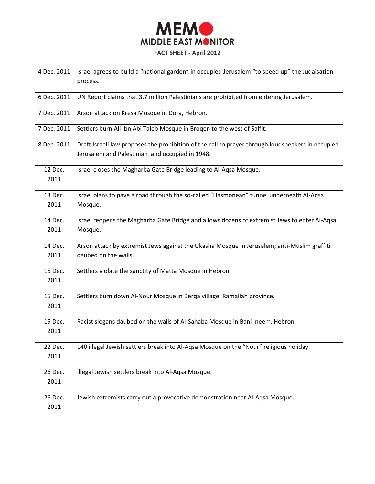

| 4 Dec. 2011 | Israel agrees to build a "national garden" in occupied Jerusalem "to speed up" the Judaisation    |
|-------------|---------------------------------------------------------------------------------------------------|
|             | process.                                                                                          |
| 6 Dec. 2011 | UN Report claims that 3.7 million Palestinians are prohibited from entering Jerusalem.            |
|             |                                                                                                   |
| 7 Dec. 2011 | Arson attack on Kresa Mosque in Dora, Hebron.                                                     |
| 7 Dec. 2011 | Settlers burn Ali Ibn Abi Taleb Mosque in Brogen to the west of Salfit.                           |
| 8 Dec. 2011 | Draft Israeli law proposes the prohibition of the call to prayer through loudspeakers in occupied |
|             | Jerusalem and Palestinian land occupied in 1948.                                                  |
| 12 Dec.     | Israel closes the Magharba Gate Bridge leading to Al-Aqsa Mosque.                                 |
| 2011        |                                                                                                   |
| 13 Dec.     | Israel plans to pave a road through the so-called "Hasmonean" tunnel underneath Al-Aqsa           |
| 2011        | Mosque.                                                                                           |
| 14 Dec.     | Israel reopens the Magharba Gate Bridge and allows dozens of extremist Jews to enter Al-Aqsa      |
| 2011        | Mosque.                                                                                           |
|             |                                                                                                   |
| 14 Dec.     | Arson attack by extremist Jews against the Ukasha Mosque in Jerusalem; anti-Muslim graffiti       |
| 2011        | daubed on the walls.                                                                              |
| 15 Dec.     | Settlers violate the sanctity of Matta Mosque in Hebron.                                          |
| 2011        |                                                                                                   |
| 15 Dec.     | Settlers burn down Al-Nour Mosque in Berga village, Ramallah province.                            |
| 2011        |                                                                                                   |
| 19 Dec.     | Racist slogans daubed on the walls of Al-Sahaba Mosque in Bani Ineem, Hebron.                     |
| 2011        |                                                                                                   |
| 22 Dec.     | 140 illegal Jewish settlers break into Al-Aqsa Mosque on the "Nour" religious holiday.            |
| 2011        |                                                                                                   |
|             |                                                                                                   |
| 26 Dec.     | Illegal Jewish settlers break into Al-Aqsa Mosque.                                                |
| 2011        |                                                                                                   |
| 26 Dec.     | Jewish extremists carry out a provocative demonstration near Al-Aqsa Mosque.                      |
| 2011        |                                                                                                   |
|             |                                                                                                   |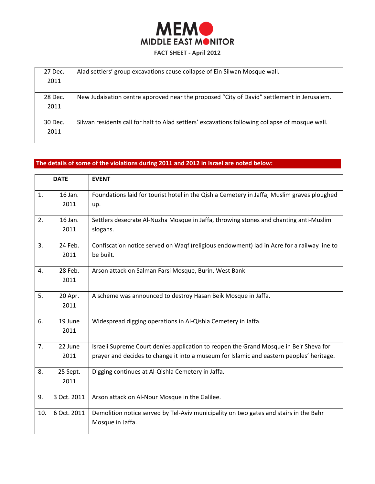

| 27 Dec. | Alad settlers' group excavations cause collapse of Ein Silwan Mosque wall.                      |
|---------|-------------------------------------------------------------------------------------------------|
| 2011    |                                                                                                 |
|         |                                                                                                 |
| 28 Dec. | New Judaisation centre approved near the proposed "City of David" settlement in Jerusalem.      |
| 2011    |                                                                                                 |
|         |                                                                                                 |
| 30 Dec. | Silwan residents call for halt to Alad settlers' excavations following collapse of mosque wall. |
| 2011    |                                                                                                 |
|         |                                                                                                 |

# **The details of some of the violations during 2011 and 2012 in Israel are noted below:**

|     | <b>DATE</b>      | <b>EVENT</b>                                                                                                                                                                      |
|-----|------------------|-----------------------------------------------------------------------------------------------------------------------------------------------------------------------------------|
| 1.  | 16 Jan.<br>2011  | Foundations laid for tourist hotel in the Qishla Cemetery in Jaffa; Muslim graves ploughed<br>up.                                                                                 |
| 2.  | 16 Jan.<br>2011  | Settlers desecrate Al-Nuzha Mosque in Jaffa, throwing stones and chanting anti-Muslim<br>slogans.                                                                                 |
| 3.  | 24 Feb.<br>2011  | Confiscation notice served on Waqf (religious endowment) lad in Acre for a railway line to<br>be built.                                                                           |
| 4.  | 28 Feb.<br>2011  | Arson attack on Salman Farsi Mosque, Burin, West Bank                                                                                                                             |
| 5.  | 20 Apr.<br>2011  | A scheme was announced to destroy Hasan Beik Mosque in Jaffa.                                                                                                                     |
| 6.  | 19 June<br>2011  | Widespread digging operations in Al-Qishla Cemetery in Jaffa.                                                                                                                     |
| 7.  | 22 June<br>2011  | Israeli Supreme Court denies application to reopen the Grand Mosque in Beir Sheva for<br>prayer and decides to change it into a museum for Islamic and eastern peoples' heritage. |
| 8.  | 25 Sept.<br>2011 | Digging continues at Al-Qishla Cemetery in Jaffa.                                                                                                                                 |
| 9.  | 3 Oct. 2011      | Arson attack on Al-Nour Mosque in the Galilee.                                                                                                                                    |
| 10. | 6 Oct. 2011      | Demolition notice served by Tel-Aviv municipality on two gates and stairs in the Bahr<br>Mosque in Jaffa.                                                                         |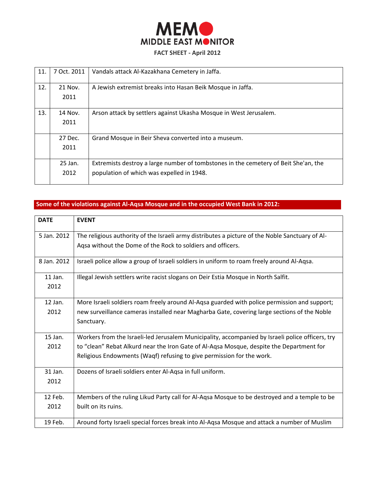

| 11. | 7 Oct. 2011 | Vandals attack Al-Kazakhana Cemetery in Jaffa.                                      |
|-----|-------------|-------------------------------------------------------------------------------------|
| 12. | 21 Nov.     | A Jewish extremist breaks into Hasan Beik Mosque in Jaffa.                          |
|     | 2011        |                                                                                     |
| 13. | 14 Nov.     | Arson attack by settlers against Ukasha Mosque in West Jerusalem.                   |
|     | 2011        |                                                                                     |
|     |             |                                                                                     |
|     | 27 Dec.     | Grand Mosque in Beir Sheva converted into a museum.                                 |
|     | 2011        |                                                                                     |
|     |             |                                                                                     |
|     | 25 Jan.     | Extremists destroy a large number of tombstones in the cemetery of Beit She'an, the |
|     | 2012        | population of which was expelled in 1948.                                           |
|     |             |                                                                                     |

# **Some of the violations against Al-Aqsa Mosque and in the occupied West Bank in 2012:**

| <b>DATE</b> | <b>EVENT</b>                                                                                     |
|-------------|--------------------------------------------------------------------------------------------------|
| 5 Jan. 2012 | The religious authority of the Israeli army distributes a picture of the Noble Sanctuary of Al-  |
|             | Aqsa without the Dome of the Rock to soldiers and officers.                                      |
| 8 Jan. 2012 | Israeli police allow a group of Israeli soldiers in uniform to roam freely around Al-Aqsa.       |
| $11$ Jan.   | Illegal Jewish settlers write racist slogans on Deir Estia Mosque in North Salfit.               |
| 2012        |                                                                                                  |
| 12 Jan.     | More Israeli soldiers roam freely around Al-Aqsa guarded with police permission and support;     |
| 2012        | new surveillance cameras installed near Magharba Gate, covering large sections of the Noble      |
|             | Sanctuary.                                                                                       |
| 15 Jan.     | Workers from the Israeli-led Jerusalem Municipality, accompanied by Israeli police officers, try |
| 2012        | to "clean" Rebat Alkurd near the Iron Gate of Al-Aqsa Mosque, despite the Department for         |
|             | Religious Endowments (Waqf) refusing to give permission for the work.                            |
| 31 Jan.     | Dozens of Israeli soldiers enter Al-Aqsa in full uniform.                                        |
| 2012        |                                                                                                  |
| 12 Feb.     | Members of the ruling Likud Party call for Al-Aqsa Mosque to be destroyed and a temple to be     |
| 2012        | built on its ruins.                                                                              |
| 19 Feb.     | Around forty Israeli special forces break into Al-Aqsa Mosque and attack a number of Muslim      |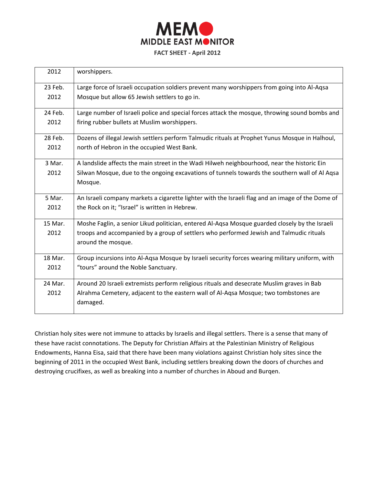

| 2012    | worshippers.                                                                                     |
|---------|--------------------------------------------------------------------------------------------------|
| 23 Feb. | Large force of Israeli occupation soldiers prevent many worshippers from going into Al-Aqsa      |
| 2012    | Mosque but allow 65 Jewish settlers to go in.                                                    |
| 24 Feb. | Large number of Israeli police and special forces attack the mosque, throwing sound bombs and    |
| 2012    | firing rubber bullets at Muslim worshippers.                                                     |
| 28 Feb. | Dozens of illegal Jewish settlers perform Talmudic rituals at Prophet Yunus Mosque in Halhoul,   |
| 2012    | north of Hebron in the occupied West Bank.                                                       |
| 3 Mar.  | A landslide affects the main street in the Wadi Hilweh neighbourhood, near the historic Ein      |
| 2012    | Silwan Mosque, due to the ongoing excavations of tunnels towards the southern wall of Al Aqsa    |
|         | Mosque.                                                                                          |
| 5 Mar.  | An Israeli company markets a cigarette lighter with the Israeli flag and an image of the Dome of |
| 2012    | the Rock on it; "Israel" is written in Hebrew.                                                   |
| 15 Mar. | Moshe Faglin, a senior Likud politician, entered Al-Aqsa Mosque guarded closely by the Israeli   |
| 2012    | troops and accompanied by a group of settlers who performed Jewish and Talmudic rituals          |
|         | around the mosque.                                                                               |
| 18 Mar. | Group incursions into Al-Aqsa Mosque by Israeli security forces wearing military uniform, with   |
| 2012    | "tours" around the Noble Sanctuary.                                                              |
| 24 Mar. | Around 20 Israeli extremists perform religious rituals and desecrate Muslim graves in Bab        |
| 2012    | Alrahma Cemetery, adjacent to the eastern wall of Al-Aqsa Mosque; two tombstones are<br>damaged. |

Christian holy sites were not immune to attacks by Israelis and illegal settlers. There is a sense that many of these have racist connotations. The Deputy for Christian Affairs at the Palestinian Ministry of Religious Endowments, Hanna Eisa, said that there have been many violations against Christian holy sites since the beginning of 2011 in the occupied West Bank, including settlers breaking down the doors of churches and destroying crucifixes, as well as breaking into a number of churches in Aboud and Burqen.